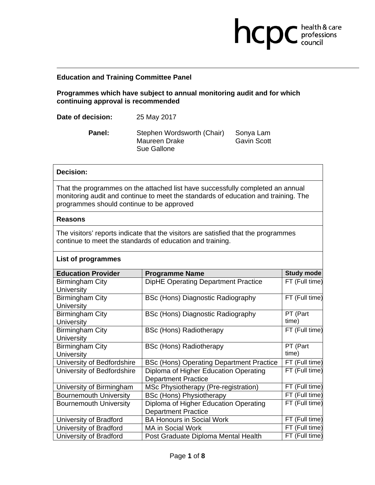## **Education and Training Committee Panel**

**Programmes which have subject to annual monitoring audit and for which continuing approval is recommended** 

**health & care** 

**Date of decision:** 25 May 2017

Panel: Stephen Wordsworth (Chair) Sonya Lam Maureen Drake Gavin Scott Sue Gallone

### **Decision:**

That the programmes on the attached list have successfully completed an annual monitoring audit and continue to meet the standards of education and training. The programmes should continue to be approved

#### **Reasons**

**List of programmes**

The visitors' reports indicate that the visitors are satisfied that the programmes continue to meet the standards of education and training.

| <b>Education Provider</b>     | <b>Programme Name</b>                           | Study mode     |
|-------------------------------|-------------------------------------------------|----------------|
| Birmingham City               | <b>DipHE Operating Department Practice</b>      | FT (Full time) |
| <b>University</b>             |                                                 |                |
| Birmingham City               | BSc (Hons) Diagnostic Radiography               | FT (Full time) |
| <b>University</b>             |                                                 |                |
| <b>Birmingham City</b>        | BSc (Hons) Diagnostic Radiography               | PT (Part       |
| <b>University</b>             |                                                 | time)          |
| Birmingham City               | <b>BSc (Hons) Radiotherapy</b>                  | FT (Full time) |
| <b>University</b>             |                                                 |                |
| <b>Birmingham City</b>        | <b>BSc (Hons) Radiotherapy</b>                  | PT (Part       |
| University                    |                                                 | time)          |
| University of Bedfordshire    | <b>BSc (Hons) Operating Department Practice</b> | FT (Full time) |
| University of Bedfordshire    | Diploma of Higher Education Operating           | FT (Full time) |
|                               | <b>Department Practice</b>                      |                |
| University of Birmingham      | MSc Physiotherapy (Pre-registration)            | FT (Full time) |
| <b>Bournemouth University</b> | <b>BSc (Hons) Physiotherapy</b>                 | FT (Full time) |
| <b>Bournemouth University</b> | Diploma of Higher Education Operating           | FT (Full time) |
|                               | <b>Department Practice</b>                      |                |
| University of Bradford        | <b>BA Honours in Social Work</b>                | FT (Full time) |
| University of Bradford        | <b>MA in Social Work</b>                        | FT (Full time) |
| University of Bradford        | Post Graduate Diploma Mental Health             | FT (Full time) |

#### Page **1** of **8**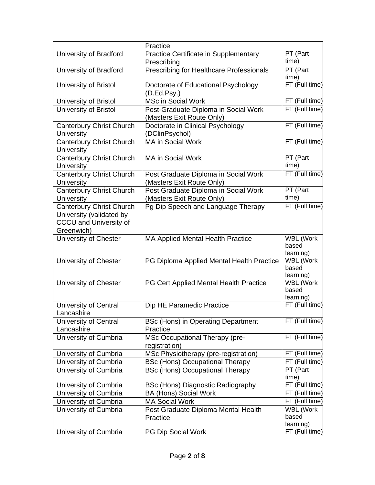|                                                                                                     | Practice                                                          |                                        |
|-----------------------------------------------------------------------------------------------------|-------------------------------------------------------------------|----------------------------------------|
| University of Bradford                                                                              | <b>Practice Certificate in Supplementary</b><br>Prescribing       | PT (Part<br>time)                      |
| University of Bradford                                                                              | Prescribing for Healthcare Professionals                          | PT (Part<br>time)                      |
| University of Bristol                                                                               | Doctorate of Educational Psychology<br>(D.Ed.Psy.)                | FT (Full time)                         |
| University of Bristol                                                                               | <b>MSc in Social Work</b>                                         | FT (Full time)                         |
| University of Bristol                                                                               | Post-Graduate Diploma in Social Work<br>(Masters Exit Route Only) | FT (Full time)                         |
| <b>Canterbury Christ Church</b><br><b>University</b>                                                | Doctorate in Clinical Psychology<br>(DClinPsychol)                | FT (Full time)                         |
| <b>Canterbury Christ Church</b><br><b>University</b>                                                | <b>MA in Social Work</b>                                          | FT (Full time)                         |
| <b>Canterbury Christ Church</b><br>University                                                       | <b>MA in Social Work</b>                                          | PT (Part<br>time)                      |
| <b>Canterbury Christ Church</b><br>University                                                       | Post Graduate Diploma in Social Work<br>(Masters Exit Route Only) | FT (Full time)                         |
| <b>Canterbury Christ Church</b><br><b>University</b>                                                | Post Graduate Diploma in Social Work<br>(Masters Exit Route Only) | PT (Part<br>time)                      |
| <b>Canterbury Christ Church</b><br>University (validated by<br>CCCU and University of<br>Greenwich) | Pg Dip Speech and Language Therapy                                | FT (Full time)                         |
| University of Chester                                                                               | <b>MA Applied Mental Health Practice</b>                          | WBL (Work<br>based<br>learning)        |
| University of Chester                                                                               | PG Diploma Applied Mental Health Practice                         | WBL (Work<br>based<br>learning)        |
| University of Chester                                                                               | PG Cert Applied Mental Health Practice                            | WBL (Work<br>based<br>learning)        |
| University of Central<br>Lancashire                                                                 | Dip HE Paramedic Practice                                         | FT (Full time)                         |
| University of Central<br>Lancashire                                                                 | <b>BSc (Hons) in Operating Department</b><br>Practice             | FT (Full time)                         |
| University of Cumbria                                                                               | MSc Occupational Therapy (pre-<br>registration)                   | FT (Full time)                         |
| University of Cumbria                                                                               | MSc Physiotherapy (pre-registration)                              | FT (Full time)                         |
| University of Cumbria                                                                               | <b>BSc (Hons) Occupational Therapy</b>                            | FT (Full time)                         |
| University of Cumbria                                                                               | <b>BSc (Hons) Occupational Therapy</b>                            | PT (Part<br>time)                      |
| University of Cumbria                                                                               | BSc (Hons) Diagnostic Radiography                                 | FT (Full time)                         |
| University of Cumbria                                                                               | <b>BA (Hons) Social Work</b>                                      | FT (Full time)                         |
| University of Cumbria                                                                               | <b>MA Social Work</b>                                             | FT (Full time)                         |
| University of Cumbria                                                                               | Post Graduate Diploma Mental Health<br>Practice                   | <b>WBL (Work</b><br>based<br>learning) |
| University of Cumbria                                                                               | PG Dip Social Work                                                | FT (Full time)                         |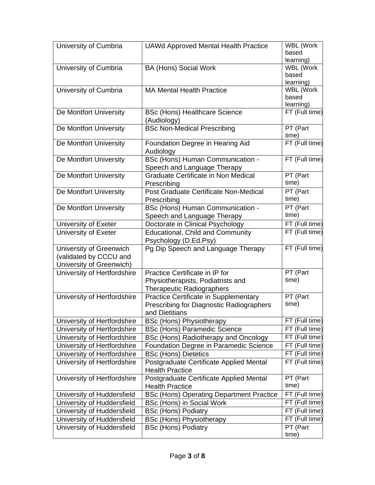| University of Cumbria                                                         | <b>UAWd Approved Mental Health Practice</b>                                                             | <b>WBL (Work</b><br>based<br>learning) |
|-------------------------------------------------------------------------------|---------------------------------------------------------------------------------------------------------|----------------------------------------|
| University of Cumbria                                                         | <b>BA (Hons) Social Work</b>                                                                            | WBL (Work<br>based<br>learning)        |
| University of Cumbria                                                         | <b>MA Mental Health Practice</b>                                                                        | WBL (Work<br>based<br>learning)        |
| De Montfort University                                                        | <b>BSc (Hons) Healthcare Science</b><br>(Audiology)                                                     | FT (Full time)                         |
| De Montfort University                                                        | <b>BSc Non-Medical Prescribing</b>                                                                      | PT (Part<br>time)                      |
| De Montfort University                                                        | Foundation Degree in Hearing Aid<br>Audiology                                                           | FT (Full time)                         |
| De Montfort University                                                        | BSc (Hons) Human Communication -<br>Speech and Language Therapy                                         | FT (Full time)                         |
| De Montfort University                                                        | <b>Graduate Certificate in Non Medical</b><br>Prescribing                                               | PT (Part<br>time)                      |
| De Montfort University                                                        | Post Graduate Certificate Non-Medical<br>Prescribing                                                    | PT (Part<br>time)                      |
| De Montfort University                                                        | BSc (Hons) Human Communication -<br>Speech and Language Therapy                                         | PT (Part<br>time)                      |
| University of Exeter                                                          | Doctorate in Clinical Psychology                                                                        | FT (Full time)                         |
| University of Exeter                                                          | <b>Educational, Child and Community</b><br>Psychology (D.Ed.Psy)                                        | FT (Full time)                         |
| University of Greenwich<br>(validated by CCCU and<br>University of Greenwich) | Pg Dip Speech and Language Therapy                                                                      | FT (Full time)                         |
| University of Hertfordshire                                                   | Practice Certificate in IP for<br>Physiotherapists, Podiatrists and<br><b>Therapeutic Radiographers</b> | PT (Part<br>time)                      |
| University of Hertfordshire                                                   | Practice Certificate in Supplementary<br>Prescribing for Diagnostic Radiographers<br>and Dietitians     | PT (Part<br>time)                      |
| University of Hertfordshire                                                   | <b>BSc (Hons) Physiotherapy</b>                                                                         | FT (Full time)                         |
| University of Hertfordshire                                                   | <b>BSc (Hons) Paramedic Science</b>                                                                     | FT (Full time)                         |
| University of Hertfordshire                                                   | BSc (Hons) Radiotherapy and Oncology                                                                    | FT (Full time)                         |
| University of Hertfordshire                                                   | Foundation Degree in Paramedic Science                                                                  | FT (Full time)                         |
| University of Hertfordshire                                                   | <b>BSc (Hons) Dietetics</b>                                                                             | FT (Full time)                         |
| University of Hertfordshire                                                   | Postgraduate Certificate Applied Mental<br><b>Health Practice</b>                                       | FT (Full time)                         |
| University of Hertfordshire                                                   | Postgraduate Certificate Applied Mental<br><b>Health Practice</b>                                       | PT (Part<br>time)                      |
| University of Huddersfield                                                    | <b>BSc (Hons) Operating Department Practice</b>                                                         | FT (Full time)                         |
| University of Huddersfield                                                    | BSc (Hons) in Social Work                                                                               | FT (Full time)                         |
| University of Huddersfield                                                    | <b>BSc (Hons) Podiatry</b>                                                                              | FT (Full time)                         |
| University of Huddersfield                                                    | <b>BSc (Hons) Physiotherapy</b>                                                                         | FT (Full time)                         |
| University of Huddersfield                                                    | <b>BSc (Hons) Podiatry</b>                                                                              | PT (Part<br>time)                      |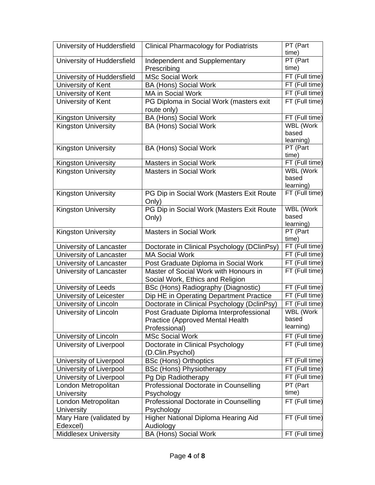| University of Huddersfield  | <b>Clinical Pharmacology for Podiatrists</b>       | PT (Part<br>time)  |
|-----------------------------|----------------------------------------------------|--------------------|
| University of Huddersfield  | Independent and Supplementary<br>Prescribing       | PT (Part<br>time)  |
| University of Huddersfield  | <b>MSc Social Work</b>                             | FT (Full time)     |
| University of Kent          | <b>BA (Hons) Social Work</b>                       | FT (Full time)     |
| University of Kent          | MA in Social Work                                  | FT (Full time)     |
| University of Kent          | PG Diploma in Social Work (masters exit            | FT (Full time)     |
|                             | route only)                                        |                    |
| Kingston University         | <b>BA (Hons) Social Work</b>                       | FT (Full time)     |
| <b>Kingston University</b>  | <b>BA (Hons) Social Work</b>                       | WBL (Work          |
|                             |                                                    | based<br>learning) |
| <b>Kingston University</b>  | <b>BA (Hons) Social Work</b>                       | PT (Part           |
|                             |                                                    | time)              |
| <b>Kingston University</b>  | <b>Masters in Social Work</b>                      | FT (Full time)     |
| <b>Kingston University</b>  | <b>Masters in Social Work</b>                      | WBL (Work          |
|                             |                                                    | based              |
|                             |                                                    | learning)          |
| <b>Kingston University</b>  | PG Dip in Social Work (Masters Exit Route<br>Only) | FT (Full time)     |
| <b>Kingston University</b>  | PG Dip in Social Work (Masters Exit Route          | WBL (Work          |
|                             | Only)                                              | based              |
|                             |                                                    | learning)          |
| <b>Kingston University</b>  | <b>Masters in Social Work</b>                      | PT (Part<br>time)  |
| University of Lancaster     | Doctorate in Clinical Psychology (DClinPsy)        | FT (Full time)     |
| University of Lancaster     | <b>MA Social Work</b>                              | FT (Full time)     |
| University of Lancaster     | Post Graduate Diploma in Social Work               | FT (Full time)     |
| University of Lancaster     | Master of Social Work with Honours in              | FT (Full time)     |
|                             | Social Work, Ethics and Religion                   |                    |
| University of Leeds         | BSc (Hons) Radiography (Diagnostic)                | FT (Full time)     |
| University of Leicester     | Dip HE in Operating Department Practice            | FT (Full time)     |
| University of Lincoln       | Doctorate in Clinical Psychology (DclinPsy)        | FT (Full time)     |
| University of Lincoln       | Post Graduate Diploma Interprofessional            | <b>WBL (Work</b>   |
|                             | Practice (Approved Mental Health                   | based              |
|                             | Professional)                                      | learning)          |
| University of Lincoln       | <b>MSc Social Work</b>                             | FT (Full time)     |
| University of Liverpool     | Doctorate in Clinical Psychology                   | FT (Full time)     |
|                             | (D.Clin.Psychol)                                   |                    |
| University of Liverpool     | <b>BSc (Hons) Orthoptics</b>                       | FT (Full time)     |
| University of Liverpool     | BSc (Hons) Physiotherapy                           | FT (Full time)     |
| University of Liverpool     | Pg Dip Radiotherapy                                | FT (Full time)     |
| London Metropolitan         | Professional Doctorate in Counselling              | PT (Part           |
| <b>University</b>           | Psychology                                         | time)              |
| London Metropolitan         | Professional Doctorate in Counselling              | FT (Full time)     |
| <b>University</b>           | Psychology                                         |                    |
| Mary Hare (validated by     | Higher National Diploma Hearing Aid                | FT (Full time)     |
| Edexcel)                    | Audiology                                          |                    |
| <b>Middlesex University</b> | <b>BA (Hons) Social Work</b>                       | FT (Full time)     |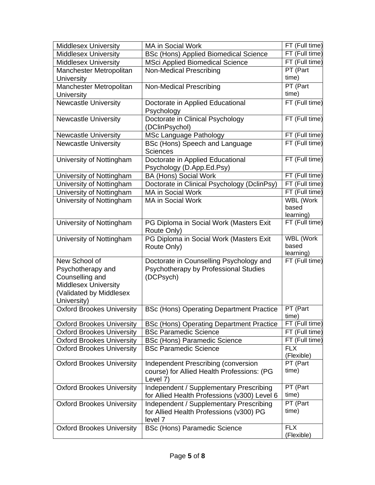| <b>Middlesex University</b>      | MA in Social Work                                      | FT (Full time) |
|----------------------------------|--------------------------------------------------------|----------------|
| <b>Middlesex University</b>      | <b>BSc (Hons) Applied Biomedical Science</b>           | FT (Full time) |
| <b>Middlesex University</b>      | <b>MSci Applied Biomedical Science</b>                 | FT (Full time) |
| Manchester Metropolitan          | Non-Medical Prescribing                                | PT (Part       |
| University                       |                                                        | time)          |
| Manchester Metropolitan          | Non-Medical Prescribing                                | PT (Part       |
| University                       |                                                        | time)          |
| Newcastle University             | Doctorate in Applied Educational                       | FT (Full time) |
|                                  | Psychology                                             |                |
| <b>Newcastle University</b>      | Doctorate in Clinical Psychology                       | FT (Full time) |
|                                  | (DClinPsychol)                                         |                |
| <b>Newcastle University</b>      | MSc Language Pathology                                 | FT (Full time) |
| <b>Newcastle University</b>      | BSc (Hons) Speech and Language                         | FT (Full time) |
|                                  | <b>Sciences</b>                                        |                |
| University of Nottingham         | Doctorate in Applied Educational                       | FT (Full time) |
|                                  | Psychology (D.App.Ed.Psy)                              |                |
| University of Nottingham         | <b>BA (Hons) Social Work</b>                           | FT (Full time) |
| University of Nottingham         | Doctorate in Clinical Psychology (DclinPsy)            | FT (Full time) |
| University of Nottingham         | MA in Social Work                                      | FT (Full time) |
| University of Nottingham         | <b>MA in Social Work</b>                               | WBL (Work      |
|                                  |                                                        | based          |
|                                  |                                                        | learning)      |
| University of Nottingham         | PG Diploma in Social Work (Masters Exit                | FT (Full time) |
|                                  | Route Only)                                            | WBL (Work      |
| University of Nottingham         | PG Diploma in Social Work (Masters Exit<br>Route Only) | based          |
|                                  |                                                        | learning)      |
| New School of                    | Doctorate in Counselling Psychology and                | FT (Full time) |
| Psychotherapy and                | Psychotherapy by Professional Studies                  |                |
| Counselling and                  | (DCPsych)                                              |                |
| Middlesex University             |                                                        |                |
| (Validated by Middlesex          |                                                        |                |
| University)                      |                                                        |                |
| <b>Oxford Brookes University</b> | <b>BSc (Hons) Operating Department Practice</b>        | PT (Part       |
|                                  |                                                        | time)          |
| <b>Oxford Brookes University</b> | <b>BSc (Hons) Operating Department Practice</b>        | FT (Full time) |
| <b>Oxford Brookes University</b> | <b>BSc Paramedic Science</b>                           | FT (Full time) |
| <b>Oxford Brookes University</b> | <b>BSc (Hons) Paramedic Science</b>                    | FT (Full time) |
| <b>Oxford Brookes University</b> | <b>BSc Paramedic Science</b>                           | <b>FLX</b>     |
|                                  |                                                        | (Flexible)     |
| <b>Oxford Brookes University</b> | Independent Prescribing (conversion                    | PT (Part       |
|                                  | course) for Allied Health Professions: (PG             | time)          |
|                                  | Level 7)                                               | PT (Part       |
| <b>Oxford Brookes University</b> | Independent / Supplementary Prescribing                | time)          |
|                                  | for Allied Health Professions (v300) Level 6           | PT (Part       |
| <b>Oxford Brookes University</b> | Independent / Supplementary Prescribing                | time)          |
|                                  | for Allied Health Professions (v300) PG<br>level 7     |                |
| <b>Oxford Brookes University</b> | <b>BSc (Hons) Paramedic Science</b>                    | <b>FLX</b>     |
|                                  |                                                        | (Flexible)     |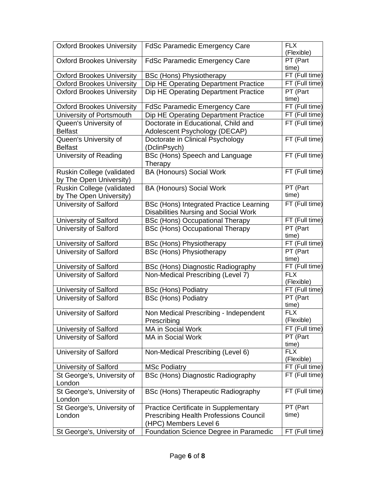| <b>Oxford Brookes University</b> | <b>FdSc Paramedic Emergency Care</b>                 | <b>FLX</b><br>(Flexible)          |
|----------------------------------|------------------------------------------------------|-----------------------------------|
| <b>Oxford Brookes University</b> | <b>FdSc Paramedic Emergency Care</b>                 | PT (Part<br>time)                 |
| <b>Oxford Brookes University</b> | <b>BSc (Hons) Physiotherapy</b>                      | FT (Full time)                    |
| <b>Oxford Brookes University</b> | Dip HE Operating Department Practice                 | FT (Full time)                    |
| <b>Oxford Brookes University</b> | Dip HE Operating Department Practice                 | PT (Part<br>time)                 |
| <b>Oxford Brookes University</b> | <b>FdSc Paramedic Emergency Care</b>                 | FT (Full time)                    |
| University of Portsmouth         | Dip HE Operating Department Practice                 | FT (Full time)                    |
| Queen's University of            | Doctorate in Educational, Child and                  | FT (Full time)                    |
| <b>Belfast</b>                   | Adolescent Psychology (DECAP)                        |                                   |
| Queen's University of            | Doctorate in Clinical Psychology                     | FT (Full time)                    |
| <b>Belfast</b>                   | (DclinPsych)                                         |                                   |
| <b>University of Reading</b>     | BSc (Hons) Speech and Language<br>Therapy            | FT (Full time)                    |
| Ruskin College (validated        | <b>BA (Honours) Social Work</b>                      | FT (Full time)                    |
| by The Open University)          |                                                      |                                   |
| Ruskin College (validated        | <b>BA (Honours) Social Work</b>                      | PT (Part                          |
| by The Open University)          |                                                      | time)                             |
| University of Salford            | BSc (Hons) Integrated Practice Learning              | FT (Full time)                    |
|                                  | <b>Disabilities Nursing and Social Work</b>          |                                   |
| University of Salford            | <b>BSc (Hons) Occupational Therapy</b>               | FT (Full time)                    |
| <b>University of Salford</b>     | <b>BSc (Hons) Occupational Therapy</b>               | PT (Part<br>time)                 |
| University of Salford            | <b>BSc (Hons) Physiotherapy</b>                      | FT (Full time)                    |
| University of Salford            | <b>BSc (Hons) Physiotherapy</b>                      | PT (Part<br>time)                 |
| University of Salford            | BSc (Hons) Diagnostic Radiography                    | FT (Full time)                    |
| University of Salford            | Non-Medical Prescribing (Level 7)                    | <b>FLX</b><br>(Flexible)          |
| University of Salford            | <b>BSc (Hons) Podiatry</b>                           | FT (Full time)                    |
| <b>University of Salford</b>     | <b>BSc (Hons) Podiatry</b>                           | PT (Part                          |
| University of Salford            |                                                      | time)<br><b>FLX</b>               |
|                                  | Non Medical Prescribing - Independent<br>Prescribing | (Flexible)                        |
| University of Salford            | MA in Social Work                                    | FT (Full time)                    |
| University of Salford            | MA in Social Work                                    | PT (Part                          |
| University of Salford            | Non-Medical Prescribing (Level 6)                    | time)<br><b>FLX</b><br>(Flexible) |
| University of Salford            | <b>MSc Podiatry</b>                                  | FT (Full time)                    |
| St George's, University of       | <b>BSc (Hons) Diagnostic Radiography</b>             | FT (Full time)                    |
| London                           |                                                      |                                   |
| St George's, University of       | BSc (Hons) Therapeutic Radiography                   | FT (Full time)                    |
| London                           |                                                      |                                   |
| St George's, University of       | Practice Certificate in Supplementary                | $PT$ (Part                        |
| London                           | <b>Prescribing Health Professions Council</b>        | time)                             |
|                                  | (HPC) Members Level 6                                |                                   |
| St George's, University of       | Foundation Science Degree in Paramedic               | FT (Full time)                    |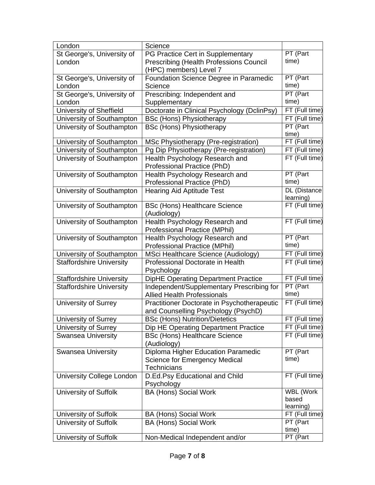| London                           | Science                                                                                                         |                                                                     |
|----------------------------------|-----------------------------------------------------------------------------------------------------------------|---------------------------------------------------------------------|
| St George's, University of       | PG Practice Cert in Supplementary                                                                               | PT (Part                                                            |
| London                           | <b>Prescribing (Health Professions Council</b><br>(HPC) members) Level 7                                        | time)                                                               |
| St George's, University of       | Foundation Science Degree in Paramedic                                                                          | PT (Part                                                            |
| London                           | Science                                                                                                         | time)                                                               |
| St George's, University of       | Prescribing: Independent and                                                                                    | PT (Part                                                            |
| London                           | Supplementary                                                                                                   | time)                                                               |
| University of Sheffield          | Doctorate in Clinical Psychology (DclinPsy)                                                                     | FT (Full time)                                                      |
| University of Southampton        | <b>BSc (Hons) Physiotherapy</b>                                                                                 | FT (Full time)                                                      |
| University of Southampton        | <b>BSc (Hons) Physiotherapy</b>                                                                                 | PT (Part<br>time)                                                   |
| University of Southampton        | MSc Physiotherapy (Pre-registration)                                                                            | FT (Full time)                                                      |
| University of Southampton        | Pg Dip Physiotherapy (Pre-registration)                                                                         | FT (Full time)                                                      |
| University of Southampton        | Health Psychology Research and                                                                                  | FT (Full time)                                                      |
|                                  | Professional Practice (PhD)                                                                                     |                                                                     |
| University of Southampton        | Health Psychology Research and                                                                                  | PT (Part                                                            |
|                                  | Professional Practice (PhD)                                                                                     | time)                                                               |
| University of Southampton        | <b>Hearing Aid Aptitude Test</b>                                                                                | DL (Distance<br>learning)                                           |
| University of Southampton        | <b>BSc (Hons) Healthcare Science</b><br>(Audiology)                                                             | $FT$ (Full time)                                                    |
| University of Southampton        | Health Psychology Research and                                                                                  | FT (Full time)                                                      |
|                                  | <b>Professional Practice (MPhil)</b>                                                                            |                                                                     |
| University of Southampton        | Health Psychology Research and                                                                                  | PT (Part                                                            |
|                                  | <b>Professional Practice (MPhil)</b>                                                                            | time)                                                               |
|                                  |                                                                                                                 |                                                                     |
| University of Southampton        | MSci Healthcare Science (Audiology)                                                                             | FT (Full time)                                                      |
| <b>Staffordshire University</b>  | Professional Doctorate in Health<br>Psychology                                                                  | FT (Full time)                                                      |
| <b>Staffordshire University</b>  | DipHE Operating Department Practice                                                                             | FT (Full time)                                                      |
| <b>Staffordshire University</b>  | Independent/Supplementary Prescribing for                                                                       | PT (Part<br>time)                                                   |
|                                  | <b>Allied Health Professionals</b>                                                                              |                                                                     |
| University of Surrey             | Practitioner Doctorate in Psychotherapeutic                                                                     |                                                                     |
| University of Surrey             | and Counselling Psychology (PsychD)<br><b>BSc (Hons) Nutrition/Dietetics</b>                                    | FT (Full time)<br>FT (Full time)                                    |
| University of Surrey             | Dip HE Operating Department Practice                                                                            |                                                                     |
| <b>Swansea University</b>        | <b>BSc (Hons) Healthcare Science</b>                                                                            |                                                                     |
| <b>Swansea University</b>        | (Audiology)<br>Diploma Higher Education Paramedic<br><b>Science for Emergency Medical</b><br><b>Technicians</b> | PT (Part<br>time)                                                   |
| <b>University College London</b> | D.Ed.Psy Educational and Child                                                                                  | FT (Full time)                                                      |
| <b>University of Suffolk</b>     | Psychology<br><b>BA (Hons) Social Work</b>                                                                      | FT (Full time)<br>FT (Full time)<br>WBL (Work<br>based<br>learning) |
| University of Suffolk            | <b>BA (Hons) Social Work</b>                                                                                    | FT (Full time)                                                      |
| University of Suffolk            | <b>BA (Hons) Social Work</b>                                                                                    | PT (Part                                                            |
| University of Suffolk            | Non-Medical Independent and/or                                                                                  | time)<br>PT (Part                                                   |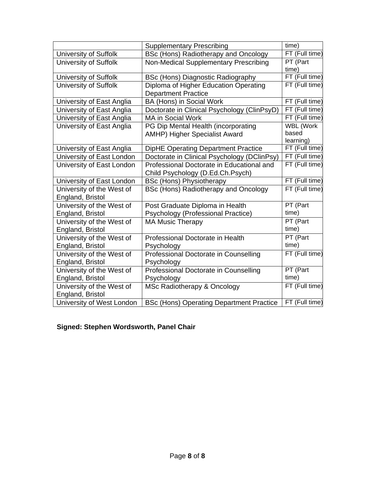|                           | <b>Supplementary Prescribing</b>                | time)            |
|---------------------------|-------------------------------------------------|------------------|
| University of Suffolk     | BSc (Hons) Radiotherapy and Oncology            | FT (Full time)   |
| University of Suffolk     | Non-Medical Supplementary Prescribing           | PT (Part         |
|                           |                                                 | time)            |
| University of Suffolk     | BSc (Hons) Diagnostic Radiography               | FT (Full time)   |
| University of Suffolk     | Diploma of Higher Education Operating           | FT (Full time)   |
|                           | <b>Department Practice</b>                      |                  |
| University of East Anglia | BA (Hons) in Social Work                        | FT (Full time)   |
| University of East Anglia | Doctorate in Clinical Psychology (ClinPsyD)     | FT (Full time)   |
| University of East Anglia | <b>MA in Social Work</b>                        | FT (Full time)   |
| University of East Anglia | PG Dip Mental Health (incorporating             | <b>WBL (Work</b> |
|                           | AMHP) Higher Specialist Award                   | based            |
|                           |                                                 | learning)        |
| University of East Anglia | DipHE Operating Department Practice             | FT (Full time)   |
| University of East London | Doctorate in Clinical Psychology (DClinPsy)     | FT (Full time)   |
| University of East London | Professional Doctorate in Educational and       | FT (Full time)   |
|                           | Child Psychology (D.Ed.Ch.Psych)                |                  |
| University of East London | <b>BSc (Hons) Physiotherapy</b>                 | FT (Full time)   |
| University of the West of | BSc (Hons) Radiotherapy and Oncology            | FT (Full time)   |
| England, Bristol          |                                                 |                  |
| University of the West of | Post Graduate Diploma in Health                 | PT (Part         |
| England, Bristol          | Psychology (Professional Practice)              | time)            |
| University of the West of | <b>MA Music Therapy</b>                         | PT (Part         |
| England, Bristol          |                                                 | time)            |
| University of the West of | Professional Doctorate in Health                | PT (Part         |
| England, Bristol          | Psychology                                      | time)            |
| University of the West of | Professional Doctorate in Counselling           | FT (Full time)   |
| England, Bristol          | Psychology                                      |                  |
| University of the West of | Professional Doctorate in Counselling           | PT (Part         |
| England, Bristol          | Psychology                                      | time)            |
| University of the West of | MSc Radiotherapy & Oncology                     | FT (Full time)   |
| England, Bristol          |                                                 |                  |
| University of West London | <b>BSc (Hons) Operating Department Practice</b> | FT (Full time)   |

# **Signed: Stephen Wordsworth, Panel Chair**